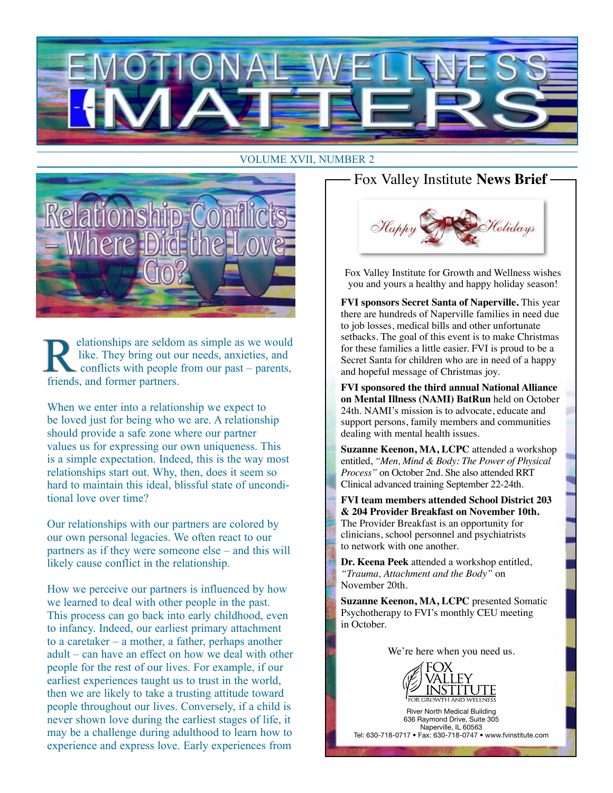

#### VOLUME XVII, NUMBER 2



elationships are seldom as simple as we would like. They bring out our needs, anxieties, and conflicts with people from our past – parents, friends, and former partners.

When we enter into a relationship we expect to be loved just for being who we are. A relationship should provide a safe zone where our partner values us for expressing our own uniqueness. This is a simple expectation. Indeed, this is the way most relationships start out. Why, then, does it seem so hard to maintain this ideal, blissful state of unconditional love over time?

Our relationships with our partners are colored by our own personal legacies. We often react to our partners as if they were someone else – and this will likely cause conflict in the relationship.

How we perceive our partners is influenced by how we learned to deal with other people in the past. This process can go back into early childhood, even to infancy. Indeed, our earliest primary attachment to a caretaker – a mother, a father, perhaps another adult – can have an effect on how we deal with other people for the rest of our lives. For example, if our earliest experiences taught us to trust in the world, then we are likely to take a trusting attitude toward people throughout our lives. Conversely, if a child is never shown love during the earliest stages of life, it may be a challenge during adulthood to learn how to experience and express love. Early experiences from

#### Fox Valley Institute **News Brief**



Fox Valley Institute for Growth and Wellness wishes you and yours a healthy and happy holiday season!

**FVI sponsors Secret Santa of Naperville.** This year there are hundreds of Naperville families in need due to job losses, medical bills and other unfortunate setbacks. The goal of this event is to make Christmas for these families a little easier. FVI is proud to be a Secret Santa for children who are in need of a happy and hopeful message of Christmas joy.

**FVI sponsored the third annual National Alliance on Mental Illness (NAMI) BatRun** held on October 24th. NAMI's mission is to advocate, educate and support persons, family members and communities dealing with mental health issues.

**Suzanne Keenon, MA, LCPC** attended a workshop entitled, *"Men, Mind & Body: The Power of Physical Process"* on October 2nd. She also attended RRT Clinical advanced training September 22-24th.

**FVI team members attended School District 203 & 204 Provider Breakfast on November 10th.**  The Provider Breakfast is an opportunity for clinicians, school personnel and psychiatrists to network with one another.

**Dr. Keena Peek** attended a workshop entitled, *"Trauma, Attachment and the Body"* on November 20th.

**Suzanne Keenon, MA, LCPC** presented Somatic Psychotherapy to FVI's monthly CEU meeting in October.

We're here when you need us.



River North Medical Building 636 Raymond Drive, Suite 305 Naperville, IL 60563 Tel: 630-718-0717 • Fax: 630-718-0747 • www.fvinstitute.com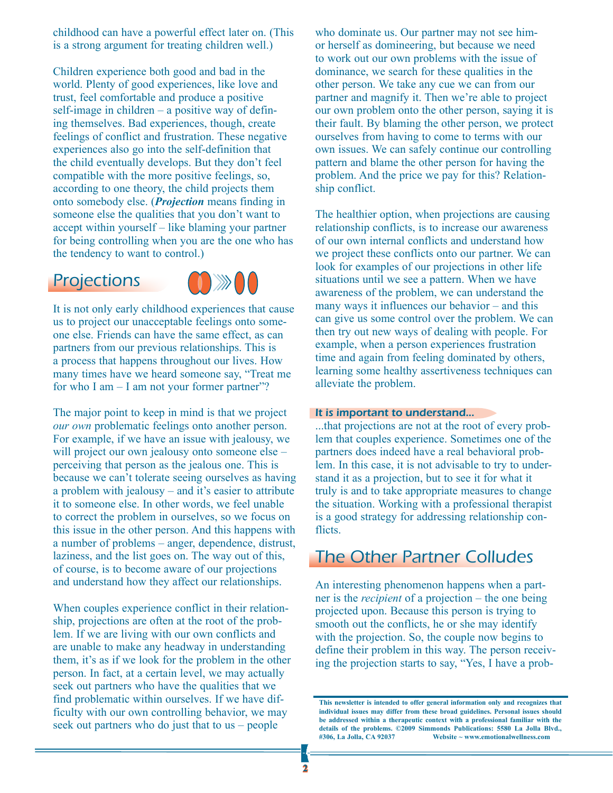childhood can have a powerful effect later on. (This is a strong argument for treating children well.)

Children experience both good and bad in the world. Plenty of good experiences, like love and trust, feel comfortable and produce a positive self-image in children – a positive way of defining themselves. Bad experiences, though, create feelings of conflict and frustration. These negative experiences also go into the self-definition that the child eventually develops. But they don't feel compatible with the more positive feelings, so, according to one theory, the child projects them onto somebody else. (*Projection* means finding in someone else the qualities that you don't want to accept within yourself – like blaming your partner for being controlling when you are the one who has the tendency to want to control.)

### **Projections**



It is not only early childhood experiences that cause us to project our unacceptable feelings onto someone else. Friends can have the same effect, as can partners from our previous relationships. This is a process that happens throughout our lives. How many times have we heard someone say, "Treat me for who  $I$  am  $-I$  am not your former partner"?

The major point to keep in mind is that we project *our own* problematic feelings onto another person. For example, if we have an issue with jealousy, we will project our own jealousy onto someone else – perceiving that person as the jealous one. This is because we can't tolerate seeing ourselves as having a problem with jealousy – and it's easier to attribute it to someone else. In other words, we feel unable to correct the problem in ourselves, so we focus on this issue in the other person. And this happens with a number of problems – anger, dependence, distrust, laziness, and the list goes on. The way out of this, of course, is to become aware of our projections and understand how they affect our relationships.

When couples experience conflict in their relationship, projections are often at the root of the problem. If we are living with our own conflicts and are unable to make any headway in understanding them, it's as if we look for the problem in the other person. In fact, at a certain level, we may actually seek out partners who have the qualities that we find problematic within ourselves. If we have difficulty with our own controlling behavior, we may seek out partners who do just that to us – people

who dominate us. Our partner may not see himor herself as domineering, but because we need to work out our own problems with the issue of dominance, we search for these qualities in the other person. We take any cue we can from our partner and magnify it. Then we're able to project our own problem onto the other person, saying it is their fault. By blaming the other person, we protect ourselves from having to come to terms with our own issues. We can safely continue our controlling pattern and blame the other person for having the problem. And the price we pay for this? Relationship conflict.

The healthier option, when projections are causing relationship conflicts, is to increase our awareness of our own internal conflicts and understand how we project these conflicts onto our partner. We can look for examples of our projections in other life situations until we see a pattern. When we have awareness of the problem, we can understand the many ways it influences our behavior – and this can give us some control over the problem. We can then try out new ways of dealing with people. For example, when a person experiences frustration time and again from feeling dominated by others, learning some healthy assertiveness techniques can alleviate the problem.

#### It is important to understand...

...that projections are not at the root of every problem that couples experience. Sometimes one of the partners does indeed have a real behavioral problem. In this case, it is not advisable to try to understand it as a projection, but to see it for what it truly is and to take appropriate measures to change the situation. Working with a professional therapist is a good strategy for addressing relationship conflicts.

## The Other Partner Colludes

An interesting phenomenon happens when a partner is the *recipient* of a projection – the one being projected upon. Because this person is trying to smooth out the conflicts, he or she may identify with the projection. So, the couple now begins to define their problem in this way. The person receiving the projection starts to say, "Yes, I have a prob-

**This newsletter is intended to offer general information only and recognizes that individual issues may differ from these broad guidelines. Personal issues should be addressed within a therapeutic context with a professional familiar with the**  details of the problems. ©2009 Simmonds Publications: 5580 La Jolla Blvd., #306, La Jolla, CA 92037 Website ~ www.emotionalwellness.com Website ~ www.emotionalwellness.com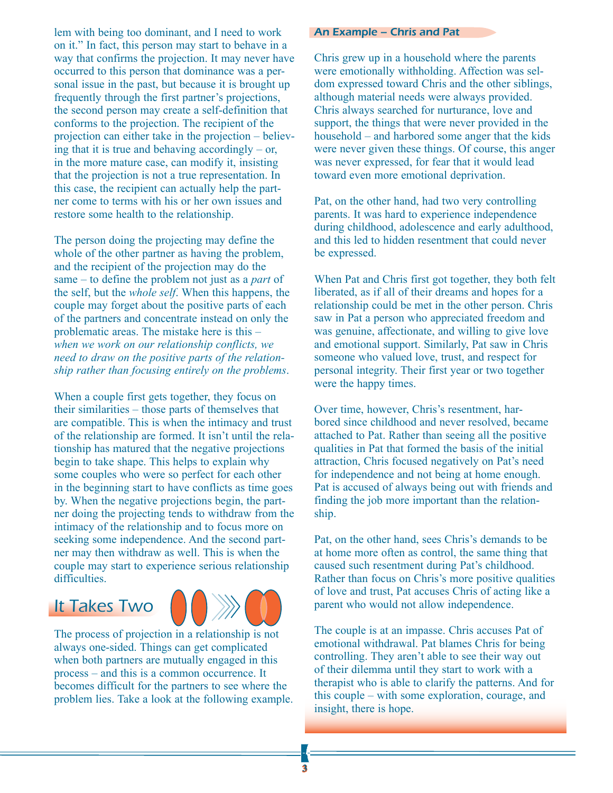lem with being too dominant, and I need to work on it." In fact, this person may start to behave in a way that confirms the projection. It may never have occurred to this person that dominance was a personal issue in the past, but because it is brought up frequently through the first partner's projections, the second person may create a self-definition that conforms to the projection. The recipient of the projection can either take in the projection – believing that it is true and behaving accordingly – or, in the more mature case, can modify it, insisting that the projection is not a true representation. In this case, the recipient can actually help the partner come to terms with his or her own issues and restore some health to the relationship.

The person doing the projecting may define the whole of the other partner as having the problem, and the recipient of the projection may do the same – to define the problem not just as a *part* of the self, but the *whole self*. When this happens, the couple may forget about the positive parts of each of the partners and concentrate instead on only the problematic areas. The mistake here is this – *when we work on our relationship conflicts, we need to draw on the positive parts of the relationship rather than focusing entirely on the problems*.

When a couple first gets together, they focus on their similarities – those parts of themselves that are compatible. This is when the intimacy and trust of the relationship are formed. It isn't until the relationship has matured that the negative projections begin to take shape. This helps to explain why some couples who were so perfect for each other in the beginning start to have conflicts as time goes by. When the negative projections begin, the partner doing the projecting tends to withdraw from the intimacy of the relationship and to focus more on seeking some independence. And the second partner may then withdraw as well. This is when the couple may start to experience serious relationship difficulties.

## It Takes Two



The process of projection in a relationship is not always one-sided. Things can get complicated when both partners are mutually engaged in this process – and this is a common occurrence. It becomes difficult for the partners to see where the problem lies. Take a look at the following example.

#### An Example – Chris and Pat

Chris grew up in a household where the parents were emotionally withholding. Affection was seldom expressed toward Chris and the other siblings, although material needs were always provided. Chris always searched for nurturance, love and support, the things that were never provided in the household – and harbored some anger that the kids were never given these things. Of course, this anger was never expressed, for fear that it would lead toward even more emotional deprivation.

Pat, on the other hand, had two very controlling parents. It was hard to experience independence during childhood, adolescence and early adulthood, and this led to hidden resentment that could never be expressed.

When Pat and Chris first got together, they both felt liberated, as if all of their dreams and hopes for a relationship could be met in the other person. Chris saw in Pat a person who appreciated freedom and was genuine, affectionate, and willing to give love and emotional support. Similarly, Pat saw in Chris someone who valued love, trust, and respect for personal integrity. Their first year or two together were the happy times.

Over time, however, Chris's resentment, harbored since childhood and never resolved, became attached to Pat. Rather than seeing all the positive qualities in Pat that formed the basis of the initial attraction, Chris focused negatively on Pat's need for independence and not being at home enough. Pat is accused of always being out with friends and finding the job more important than the relationship.

Pat, on the other hand, sees Chris's demands to be at home more often as control, the same thing that caused such resentment during Pat's childhood. Rather than focus on Chris's more positive qualities of love and trust, Pat accuses Chris of acting like a parent who would not allow independence.

The couple is at an impasse. Chris accuses Pat of emotional withdrawal. Pat blames Chris for being controlling. They aren't able to see their way out of their dilemma until they start to work with a therapist who is able to clarify the patterns. And for this couple – with some exploration, courage, and insight, there is hope.